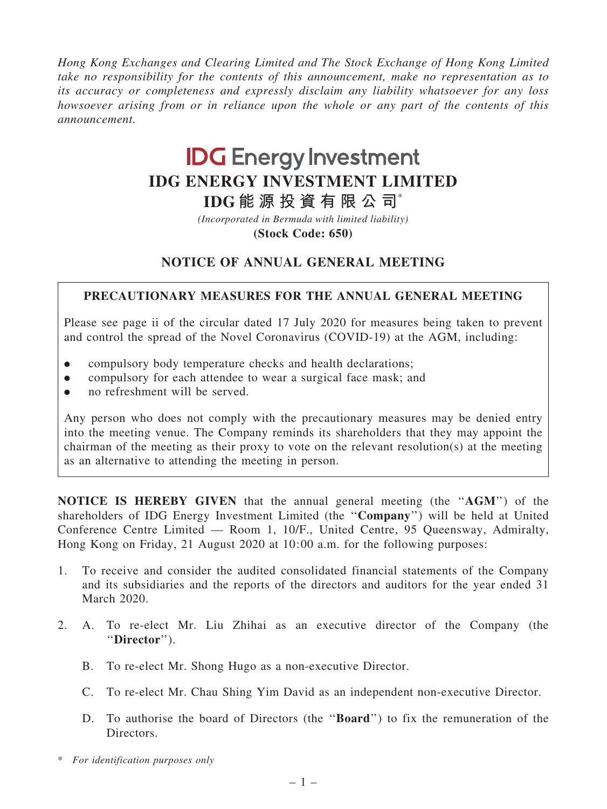Hong Kong Exchanges and Clearing Limited and The Stock Exchange of Hong Kong Limited take no responsibility for the contents of this announcement, make no representation as to its accuracy or completeness and expressly disclaim any liability whatsoever for any loss howsoever arising from or in reliance upon the whole or any part of the contents of this announcement.

# **IDG Energy Investment IDG ENERGY INVESTMENT LIMITED**

**IDG 能源投資有限公司**\*

*(Incorporated in Bermuda with limited liability)*

**(Stock Code: 650)**

## NOTICE OF ANNUAL GENERAL MEETING

#### PRECAUTIONARY MEASURES FOR THE ANNUAL GENERAL MEETING

Please see page ii of the circular dated 17 July 2020 for measures being taken to prevent and control the spread of the Novel Coronavirus (COVID-19) at the AGM, including:

- compulsory body temperature checks and health declarations;
- . compulsory for each attendee to wear a surgical face mask; and
- no refreshment will be served.

Any person who does not comply with the precautionary measures may be denied entry into the meeting venue. The Company reminds its shareholders that they may appoint the chairman of the meeting as their proxy to vote on the relevant resolution(s) at the meeting as an alternative to attending the meeting in person.

NOTICE IS HEREBY GIVEN that the annual general meeting (the ''AGM'') of the shareholders of IDG Energy Investment Limited (the ''Company'') will be held at United Conference Centre Limited — Room 1, 10/F., United Centre, 95 Queensway, Admiralty, Hong Kong on Friday, 21 August 2020 at 10:00 a.m. for the following purposes:

- 1. To receive and consider the audited consolidated financial statements of the Company and its subsidiaries and the reports of the directors and auditors for the year ended 31 March 2020.
- 2. A. To re-elect Mr. Liu Zhihai as an executive director of the Company (the ''Director'').
	- B. To re-elect Mr. Shong Hugo as a non-executive Director.
	- C. To re-elect Mr. Chau Shing Yim David as an independent non-executive Director.
	- D. To authorise the board of Directors (the ''Board'') to fix the remuneration of the Directors.
- \* For identification purposes only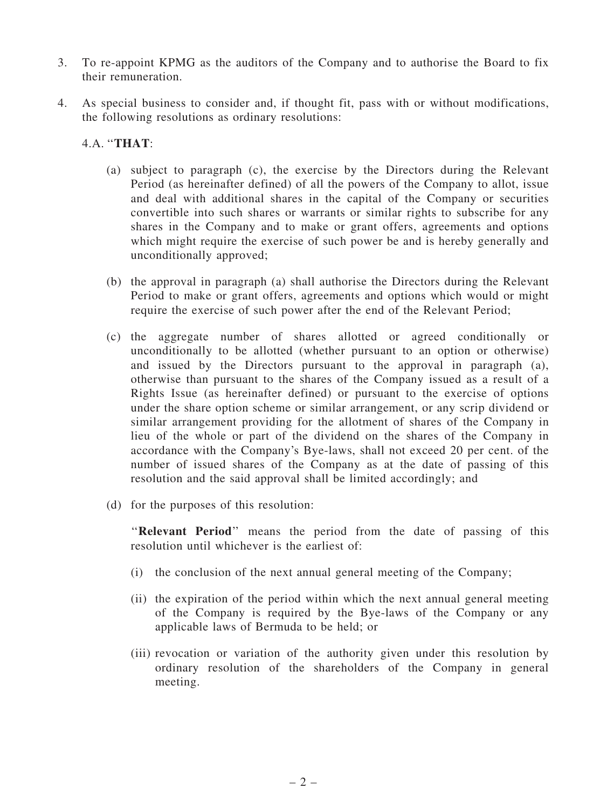- 3. To re-appoint KPMG as the auditors of the Company and to authorise the Board to fix their remuneration.
- 4. As special business to consider and, if thought fit, pass with or without modifications, the following resolutions as ordinary resolutions:

### 4.A. ''THAT:

- (a) subject to paragraph (c), the exercise by the Directors during the Relevant Period (as hereinafter defined) of all the powers of the Company to allot, issue and deal with additional shares in the capital of the Company or securities convertible into such shares or warrants or similar rights to subscribe for any shares in the Company and to make or grant offers, agreements and options which might require the exercise of such power be and is hereby generally and unconditionally approved;
- (b) the approval in paragraph (a) shall authorise the Directors during the Relevant Period to make or grant offers, agreements and options which would or might require the exercise of such power after the end of the Relevant Period;
- (c) the aggregate number of shares allotted or agreed conditionally or unconditionally to be allotted (whether pursuant to an option or otherwise) and issued by the Directors pursuant to the approval in paragraph (a), otherwise than pursuant to the shares of the Company issued as a result of a Rights Issue (as hereinafter defined) or pursuant to the exercise of options under the share option scheme or similar arrangement, or any scrip dividend or similar arrangement providing for the allotment of shares of the Company in lieu of the whole or part of the dividend on the shares of the Company in accordance with the Company's Bye-laws, shall not exceed 20 per cent. of the number of issued shares of the Company as at the date of passing of this resolution and the said approval shall be limited accordingly; and
- (d) for the purposes of this resolution:

"Relevant Period" means the period from the date of passing of this resolution until whichever is the earliest of:

- (i) the conclusion of the next annual general meeting of the Company;
- (ii) the expiration of the period within which the next annual general meeting of the Company is required by the Bye-laws of the Company or any applicable laws of Bermuda to be held; or
- (iii) revocation or variation of the authority given under this resolution by ordinary resolution of the shareholders of the Company in general meeting.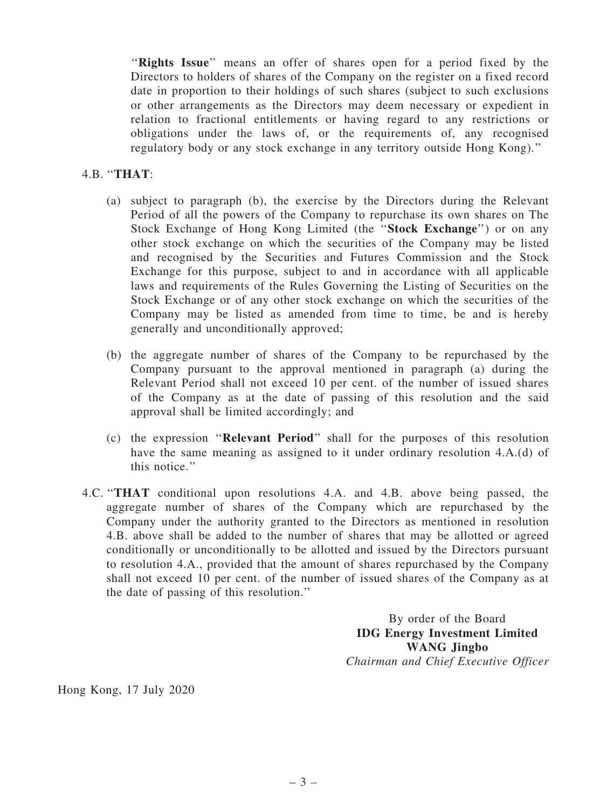"Rights Issue" means an offer of shares open for a period fixed by the Directors to holders of shares of the Company on the register on a fixed record date in proportion to their holdings of such shares (subject to such exclusions or other arrangements as the Directors may deem necessary or expedient in relation to fractional entitlements or having regard to any restrictions or obligations under the laws of, or the requirements of, any recognised regulatory body or any stock exchange in any territory outside Hong Kong).''

#### 4.B. ''THAT:

- (a) subject to paragraph (b), the exercise by the Directors during the Relevant Period of all the powers of the Company to repurchase its own shares on The Stock Exchange of Hong Kong Limited (the ''Stock Exchange'') or on any other stock exchange on which the securities of the Company may be listed and recognised by the Securities and Futures Commission and the Stock Exchange for this purpose, subject to and in accordance with all applicable laws and requirements of the Rules Governing the Listing of Securities on the Stock Exchange or of any other stock exchange on which the securities of the Company may be listed as amended from time to time, be and is hereby generally and unconditionally approved;
- (b) the aggregate number of shares of the Company to be repurchased by the Company pursuant to the approval mentioned in paragraph (a) during the Relevant Period shall not exceed 10 per cent. of the number of issued shares of the Company as at the date of passing of this resolution and the said approval shall be limited accordingly; and
- (c) the expression ''Relevant Period'' shall for the purposes of this resolution have the same meaning as assigned to it under ordinary resolution 4.A.(d) of this notice.''
- 4.C. ''THAT conditional upon resolutions 4.A. and 4.B. above being passed, the aggregate number of shares of the Company which are repurchased by the Company under the authority granted to the Directors as mentioned in resolution 4.B. above shall be added to the number of shares that may be allotted or agreed conditionally or unconditionally to be allotted and issued by the Directors pursuant to resolution 4.A., provided that the amount of shares repurchased by the Company shall not exceed 10 per cent. of the number of issued shares of the Company as at the date of passing of this resolution.''

By order of the Board IDG Energy Investment Limited WANG Jingbo Chairman and Chief Executive Officer

Hong Kong, 17 July 2020